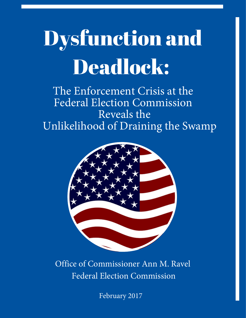# Dysfunction and Deadlock:

The Enforcement Crisis at the Federal Election Commission Reveals the Unlikelihood of Draining the Swamp



Office of Commissioner Ann M. Ravel Federal Election Commission

February 2017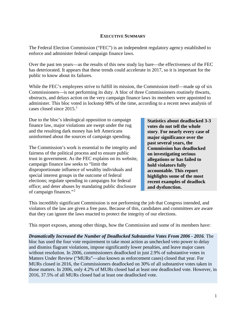#### **EXECUTIVE SUMMARY**

<span id="page-1-0"></span>The Federal Election Commission ("FEC") is an independent regulatory agency established to enforce and administer federal campaign finance laws.

public to know about its failures. Over the past ten years—as the results of this new study lay bare—the effectiveness of the FEC has deteriorated. It appears that these trends could accelerate in 2017, so it is important for the

 obstructs, and delays action on the very campaign finance laws its members were appointed to cases closed since  $2015.<sup>1</sup>$  $2015.<sup>1</sup>$  $2015.<sup>1</sup>$ While the FEC's employees strive to fulfill its mission, the Commission itself—made up of six Commissioners—is not performing its duty. A bloc of three Commissioners routinely thwarts, administer. This bloc voted in lockstep 98% of the time, according to a recent news analysis of

finance law, major violations are swept under the rug **votes do not tell the whole** and the resulting dark money has left Americans **story**. For nearly every case of uninformed about the sources of campaign spending. **major significance over the**  Due to the bloc's ideological opposition to campaign **Statistics about deadlocked 3-3** 

The Commission's work is essential to the integrity and **Commission has deadlocked**  office; and deter abuses by mandating public disclosure **and dysfunction.**  fairness of the political process and to ensure public **on investigating serious**  trust in government. As the FEC explains on its website, **allegations or has failed to**  campaign finance law seeks to "limit the **hold violators fully** disproportionate influence of wealthy individuals and **accountable. This report**  special interest groups in the outcome of federal elections; regulate spending in campaigns for federal **recent examples of deadlock**  of campaign finances."[2](#page-21-1) 

story. For nearly every case of highlights some of the most **past several years, the** 

 violators of the law are given a free pass. Because of this, candidates and committees are aware This incredibly significant Commission is not performing the job that Congress intended, and that they can ignore the laws enacted to protect the integrity of our elections.

This report exposes, among other things, how the Commission and some of its members have:

 *Dramatically Increased the Number of Deadlocked Substantive Votes From 2006 - 2016.* The and dismiss flagrant violations, impose significantly lower penalties, and leave major cases bloc has used the four vote requirement to take most action as unchecked veto power to delay without resolution. In 2006, commissioners deadlocked in just 2.9% of substantive votes in Matters Under Review ("MURs"—also known as enforcement cases) closed that year. For MURs closed in 2016, the Commissioners deadlocked on 30% of all substantive votes taken in those matters. In 2006, only 4.2% of MURs closed had at least one deadlocked vote. However, in 2016, 37.5% of all MURs closed had at least one deadlocked vote.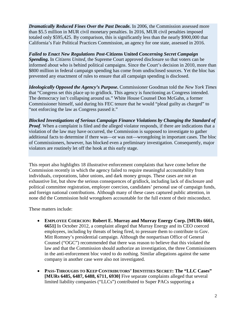than \$5.5 million in MUR civil monetary penalties. In 2016, MUR civil penalties imposed totaled only \$595,425. By comparison, this is significantly less than the nearly \$900,000 that **Dramatically Reduced Fines Over the Past Decade.** In 2006, the Commission assessed more California's Fair Political Practices Commission, an agency for one state, assessed in 2016.

 *Spending.* In *Citizens United*, the Supreme Court approved disclosure so that voters can be \$800 million in federal campaign spending has come from undisclosed sources. Yet the bloc has *Failed to Enact New Regulations Post***-Citizens United** *Concerning Secret Campaign*  informed about who is behind political campaigns. Since the Court's decision in 2010, more than prevented any enactment of rules to ensure that all campaign spending is disclosed.

*Ideologically Opposed the Agency's Purpose***.** Commissioner Goodman told the *New York Times*  that "Congress set this place up to gridlock. This agency is functioning as Congress intended. The democracy isn't collapsing around us." White House Counsel Don McGahn, a former Commissioner himself, said during his FEC tenure that he would "plead guilty as charged" to "not enforcing the law as Congress passed it."

*Blocked Investigations of Serious Campaign Finance Violations by Changing the Standard of Proof.* When a complaint is filed and the alleged violator responds, if there are indications that a violation of the law may have occurred, the Commission is supposed to investigate to gather additional facts to determine if there was—or was not—wrongdoing in important cases. The bloc of Commissioners, however, has blocked even a preliminary investigation. Consequently, major violators are routinely let off the hook at this early stage.

 This report also highlights 18 illustrative enforcement complaints that have come before the Commission recently in which the agency failed to require meaningful accountability from individuals, corporations, labor unions, and dark money groups. These cases are not an exhaustive list, but show the serious consequences of gridlock, including lack of disclosure and political committee registration, employer coercion, candidates' personal use of campaign funds, none did the Commission hold wrongdoers accountable for the full extent of their misconduct. and foreign national contributions. Although many of these cases captured public attention, in

These matters include:

- Mitt Romney's presidential campaign. Although the nonpartisan Office of General • **EMPLOYEE COERCION: Robert E. Murray and Murray Energy Corp. [MURs 6661, 6651]** In October 2012, a complaint alleged that Murray Energy and its CEO coerced employees, including by threats of being fired, to pressure them to contribute to Gov. Counsel ("OGC") recommended that there was reason to believe that this violated the law and that the Commission should authorize an investigation, the three Commissioners in the anti-enforcement bloc voted to do nothing. Similar allegations against the same company in another case were also not investigated.
- **PASS-THROUGHS TO KEEP CONTRIBUTORS' IDENTITIES SECRET: The "LLC Cases" [MURs 6485, 6487, 6488, 6711, 6930]** Five separate complaints alleged that several limited liability companies ("LLCs") contributed to Super PACs supporting a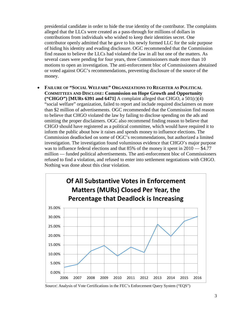presidential candidate in order to hide the true identity of the contributor. The complaints alleged that the LLCs were created as a pass-through for millions of dollars in contributions from individuals who wished to keep their identities secret. One contributor openly admitted that he gave to his newly formed LLC for the sole purpose of hiding his identity and evading disclosure. OGC recommended that the Commission find reason to believe the LLCs had violated the law in all but one of the matters. As several cases were pending for four years, three Commissioners made more than 10 motions to open an investigation. The anti-enforcement bloc of Commissioners abstained or voted against OGC's recommendations, preventing disclosure of the source of the money.

was to influence federal elections and that 85% of the money it spent in  $2010 - $4.77$ • **FAILURE OF "SOCIAL WELFARE" ORGANIZATIONS TO REGISTER AS POLITICAL COMMITTEES AND DISCLOSE: Commission on Hope Growth and Opportunity ("CHGO") [MURs 6391 and 6471]** A complaint alleged that CHGO, a 501(c)(4) "social welfare" organization, failed to report and include required disclaimers on more than \$2 million of advertisements. OGC recommended that the Commission find reason to believe that CHGO violated the law by failing to disclose spending on the ads and omitting the proper disclaimers. OGC also recommend finding reason to believe that CHGO should have registered as a political committee, which would have required it to inform the public about how it raises and spends money to influence elections. The Commission deadlocked on some of OGC's recommendations, but authorized a limited investigation. The investigation found voluminous evidence that CHGO's major purpose million — funded political advertisements. The anti-enforcement bloc of Commissioners refused to find a violation, and refused to enter into settlement negotiations with CHGO. Nothing was done about this clear violation.



Source: Analysis of Vote Certifications in the FEC's Enforcement Query System ("EQS")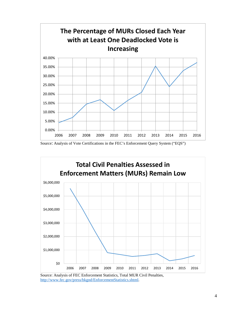





[Source: Analysis of FEC Enforcement Statistics, Total MUR C](http://www.fec.gov/press/bkgnd/EnforcementStatistics.shtml)ivil Penalties, [http://www.fec.gov/press/bkgnd/EnforcementStatistics.shtml.](http://www.fec.gov/press/bkgnd/EnforcementStatistics.shtml)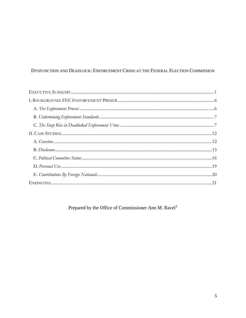# DYSFUNCTION AND DEADLOCK: ENFORCEMENT CRISIS AT THE FEDERAL ELECTION COMMISSION

Prepared by the Office of Commissioner Ann M. Ravel<sup>3</sup>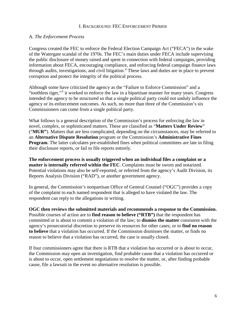#### I. BACKGROUND: FEC ENFORCEMENT PRIMER

#### <span id="page-6-1"></span><span id="page-6-0"></span>A. *The Enforcement Process*

 of the Watergate scandal of the 1970s. The FEC's main duties under FECA include supervising Congress created the FEC to enforce the Federal Election Campaign Act ("FECA") in the wake the public disclosure of money raised and spent in connection with federal campaigns, providing information about FECA, encouraging compliance, and enforcing federal campaign finance laws through audits, investigations, and civil litigation.<sup>[4](#page-21-4)</sup> These laws and duties are in place to prevent corruption and protect the integrity of the political process.

Although some have criticized the agency as the "Failure to Enforce Commission" and a "toothless tiger,"[5](#page-21-5) it worked to enforce the law in a bipartisan manner for many years. Congress intended the agency to be structured so that a single political party could not unduly influence the agency or its enforcement outcomes. As such, no more than three of the Commission's six Commissioners can come from a single political party.

What follows is a general description of the Commission's process for enforcing the law in novel, complex, or sophisticated matters. These are classified as "**Matters Under Review**" ("**MUR"**). Matters that are less complicated, depending on the circumstances, may be referred to an **Alternative Dispute Resolution** program or the Commission's **Administrative Fines Program.** The latter calculates pre-established fines when political committees are late in filing their disclosure reports, or fail to file reports entirely.

**The enforcement process is usually triggered when an individual files a complaint or a matter is internally referred within the FEC**. Complaints must be sworn and notarized. Potential violations may also be self-reported, or referred from the agency's Audit Division, its Reports Analysis Division ("RAD"), or another government agency.

 In general, the Commission's nonpartisan Office of General Counsel ("OGC") provides a copy of the complaint to each named respondent that is alleged to have violated the law. The respondent can reply to the allegations in writing.

**OGC then reviews the submitted materials and recommends a response to the Commission.**  Possible courses of action are to **find reason to believe ("RTB")** that the respondent has committed or is about to commit a violation of the law; to **dismiss the matter** consistent with the agency's prosecutorial discretion to preserve its resources for other cases; or to **find no reason to believe** that a violation has occurred. If the Commission dismisses the matter, or finds no reason to believe that a violation has occurred, the case is usually closed.

If four commissioners agree that there is RTB that a violation has occurred or is about to occur, the Commission may open an investigation, find probable cause that a violation has occurred or is about to occur, open settlement negotiations to resolve the matter, or, after finding probable cause, file a lawsuit in the event no alternative resolution is possible.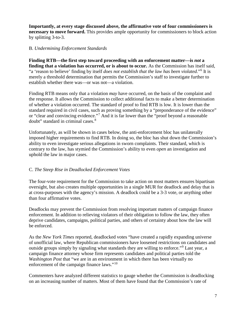**Importantly, at every stage discussed above, the affirmative vote of four commissioners is necessary to move forward.** This provides ample opportunity for commissioners to block action by splitting 3-to-3.

#### <span id="page-7-0"></span>B. *Undermining Enforcement Standards*

 merely a threshold determination that permits the Commission's staff to investigate further to **Finding RTB—the first step toward proceeding with an enforcement matter—is** *not* **a**  finding that a violation has occurred, or is about to occur. As the Commission has itself said, "a 'reason to believe' finding by itself *does not establish that the law has been violated*."[6](#page-21-6) It is establish whether there was—or was not—a violation.

or "clear and convincing evidence."<sup>7</sup> And it is far lower than the "proof beyond a reasonable doubt" standard in criminal cases.<sup>[8](#page-21-8)</sup> Finding RTB means only that a violation *may* have occurred, on the basis of the complaint and the response. It allows the Commission to collect additional facts to make a better determination of whether a violation occurred. The standard of proof to find RTB is low. It is lower than the standard required in civil cases, such as proving something by a "preponderance of the evidence"

Unfortunately, as will be shown in cases below, the anti-enforcement bloc has unilaterally imposed higher requirements to find RTB. In doing so, the bloc has shut down the Commission's ability to even investigate serious allegations in sworn complaints. Their standard, which is contrary to the law, has stymied the Commission's ability to even *open* an investigation and uphold the law in major cases.

### <span id="page-7-1"></span>C. *The Steep Rise in Deadlocked Enforcement Votes*

The four-vote requirement for the Commission to take action on most matters ensures bipartisan oversight, but also creates multiple opportunities in a single MUR for deadlock and delay that is at cross-purposes with the agency's mission. A deadlock could be a 3-3 vote, or anything other than four affirmative votes.

Deadlocks may prevent the Commission from resolving important matters of campaign finance enforcement. In addition to relieving violators of their obligation to follow the law, they often deprive candidates, campaigns, political parties, and others of certainty about how the law will be enforced.

As the *New York Times* reported, deadlocked votes "have created a rapidly expanding universe of unofficial law, where Republican commissioners have loosened restrictions on candidates and outside groups simply by signaling what standards they are willing to enforce."[9](#page-21-9) Last year, a campaign finance attorney whose firm represents candidates and political parties told the *Washington Post* that "we are in an environment in which there has been virtually no enforcement of the campaign finance laws."<sup>10</sup>

Commenters have analyzed different statistics to gauge whether the Commission is deadlocking on an increasing number of matters. Most of them have found that the Commission's rate of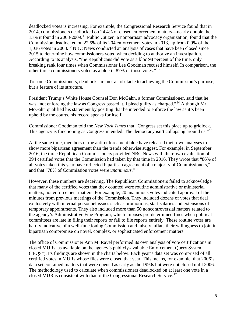According to its analysis, "the Republicans did vote as a bloc 98 percent of the time, only other three commissioners voted as a bloc in 87% of those votes."<sup>[13](#page-21-13)</sup> deadlocked votes is increasing. For example, the Congressional Research Service found that in 2014, commissioners deadlocked on 24.4% of closed enforcement matters—nearly double the 13% it found in 2008-2009.[11](#page-21-11) Public Citizen, a nonpartisan advocacy organization, found that the Commission deadlocked on 22.5% of its 204 enforcement votes in 2013, up from 0.9% of the 1,036 votes in 2003.[12](#page-21-12) NBC News conducted an analysis of cases that have been closed since 2015 to determine how commissioners voted when deciding to authorize an investigation. breaking rank four times when Commissioner Lee Goodman recused himself. In comparison, the

To some Commissioners, deadlocks are not an obstacle to achieving the Commission's purpose, but a feature of its structure.

upheld by the courts, his record speaks for itself. President Trump's White House Counsel Don McGahn, a former Commissioner, said that he was "not enforcing the law as Congress passed it. I plead guilty as charged."<sup>14</sup> Although Mr. McGahn qualified his statement by positing that he intended to enforce the law as it's been

Commissioner Goodman told the *New York Times* that "Congress set this place up to gridlock. This agency is functioning as Congress intended. The democracy isn't collapsing around us."<sup>15</sup>

 At the same time, members of the anti-enforcement bloc have released their own analyses to 394 certified votes that the Commission had taken by that time in 2016. They wrote that "86% of and that "78% of Commission votes were *unanimous*."[16](#page-21-16)  show more bipartisan agreement than the trends otherwise suggest. For example, in September 2016, the three Republican Commissioners provided NBC News with their own evaluation of all votes taken this year have reflected bipartisan agreement of a majority of Commissioners,"

 that many of the certified votes that they counted were routine administrative or ministerial minutes from previous meetings of the Commission. They included dozens of votes that deal temporary appointments. They also included more than 50 noncontroversial matters related to committees are late in filing their reports or fail to file reports entirely. These routine votes are However, these numbers are deceiving. The Republican Commissioners failed to acknowledge matters, not enforcement matters. For example, 20 unanimous votes indicated approval of the exclusively with internal personnel issues such as promotions, staff salaries and extensions of the agency's Administrative Fine Program, which imposes pre-determined fines when political hardly indicative of a well-functioning Commission and falsely inflate their willingness to join in bipartisan compromise on novel, complex, or sophisticated enforcement matters.

 ("EQS"). Its findings are shown in the charts below. Each year's data set was comprised of all closed MUR is consistent with that of the Congressional Research Service.<sup>[17](#page-21-17)</sup> The office of Commissioner Ann M. Ravel performed its own analysis of vote certifications in closed MURs, as available on the agency's publicly-available Enforcement Query System certified votes in MURs whose files were closed that year. This means, for example, that 2006's data set contained matters that were opened as early as the 1990s but were not closed until 2006. The methodology used to calculate when commissioners deadlocked on at least one vote in a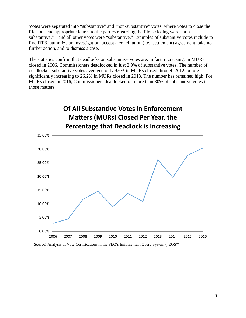Votes were separated into "substantive" and "non-substantive" votes, where votes to close the file and send appropriate letters to the parties regarding the file's closing were "nonsubstantive,"[18](#page-21-18) and all other votes were "substantive." Examples of substantive votes include to find RTB, authorize an investigation, accept a conciliation (i.e., settlement) agreement, take no further action, and to dismiss a case.

 those matters. The statistics confirm that deadlocks on substantive votes are, in fact, increasing. In MURs closed in 2006, Commissioners deadlocked in just 2.9% of substantive votes. The number of deadlocked substantive votes averaged only 9.6% in MURs closed through 2012, before significantly increasing to 26.2% in MURs closed in 2013. The number has remained high. For MURs closed in 2016, Commissioners deadlocked on more than 30% of substantive votes in



Source: Analysis of Vote Certifications in the FEC's Enforcement Query System ("EQS")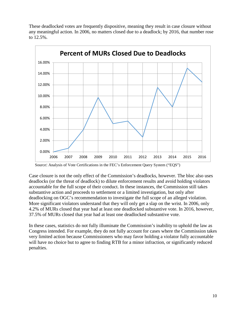These deadlocked votes are frequently dispositive, meaning they result in case closure without any meaningful action. In 2006, no matters closed due to a deadlock; by 2016, that number rose to 12.5%.



Source: Analysis of Vote Certifications in the FEC's Enforcement Query System ("EQS")

 Case closure is not the only effect of the Commission's deadlocks, however. The bloc also uses accountable for the full scope of their conduct. In these instances, the Commission still takes substantive action and proceeds to settlement or a limited investigation, but only after deadlocking on OGC's recommendation to investigate the full scope of an alleged violation. More significant violators understand that they will only get a slap on the wrist. In 2006, only deadlocks (or the threat of deadlock) to dilute enforcement results and avoid holding violators 4.2% of MURs closed that year had at least one deadlocked substantive vote. In 2016, however, 37.5% of MURs closed that year had at least one deadlocked substantive vote.

 very limited action because Commissioners who may favor holding a violator fully accountable In these cases, statistics do not fully illuminate the Commission's inability to uphold the law as Congress intended. For example, they do not fully account for cases where the Commission takes will have no choice but to agree to finding RTB for a minor infraction, or significantly reduced penalties.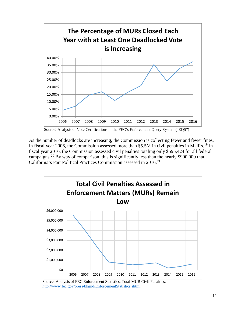

Source: Analysis of Vote Certifications in the FEC's Enforcement Query System ("EQS")

 As the number of deadlocks are increasing, the Commission is collecting fewer and fewer fines. In fiscal year 2006, the Commission assessed more than \$5.5M in civil penalties in MURs.<sup>19</sup> In fiscal year 2016, the Commission assessed civil penalties totaling only \$595,424 for all federal campaigns.<sup>[20](#page-21-20)</sup> By way of comparison, this is significantly less than the nearly \$900,000 that California's Fair Political Practices Commission assessed in 2016.<sup>[21](#page-21-21)</sup>



Source: Analysis of FEC Enforcement Statistics, Total MUR Civil Penalties, [http://www.fec.gov/press/bkgnd/EnforcementStatistics.shtml.](http://www.fec.gov/press/bkgnd/EnforcementStatistics.shtml)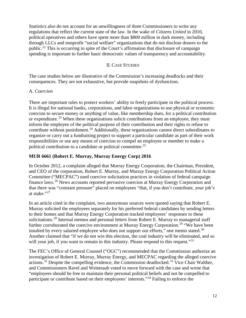public.<sup>22</sup> This is occurring in spite of the Court's affirmation that disclosure of campaign Statistics also do not account for an unwillingness of three Commissioners to write any regulations that reflect the current state of the law. In the wake of *Citizens United* in 2010, political operatives and others have spent more than \$800 million in dark money, including through LLCs and nonprofit "social welfare" organizations that do not disclose donors to the spending is important to further basic democratic values of transparency and accountability.

#### II. CASE STUDIES

<span id="page-12-0"></span> consequences. They are not exhaustive, but provide snapshots of dysfunction. The case studies below are illustrative of the Commission's increasing deadlocks and their

#### <span id="page-12-1"></span>A. *Coercion*

 coercion to secure money or anything of value, like membership dues, for a political contribution or expenditure.<sup>[23](#page-21-23)</sup> When these organizations solicit contributions from an employee, they must responsibilities or use any means of coercion to compel an employee or member to make a political contribution to a candidate or political committee.<sup>[25](#page-22-1)</sup> There are important rules to protect workers' ability to freely participate in the political process. It is illegal for national banks, corporations, and labor organizations to use physical or economic inform the employee of the political purpose of their contribution and their rights to refuse to contribute without punishment.<sup>[24](#page-22-0)</sup> Additionally, these organizations cannot direct subordinates to organize or carry out a fundraising project to support a particular candidate as part of their work

#### **MUR 6661 (Robert E. Murray, Murray Energy Corp) 2016**

 In October 2012, a complaint alleged that Murray Energy Corporation, the Chairman, President, that there was "constant pressure" placed on employees "that, if you don't contribute, your job's at stake."<sup>[27](#page-22-3)</sup> and CEO of the corporation, Robert E. Murray, and Murray Energy Corporation Political Action Committee ("MECPAC") used coercive solicitation practices in violation of federal campaign finance laws.<sup>[26](#page-22-2)</sup> News accounts reported pervasive coercion at Murray Energy Corporation and

 Murray solicited the employees separately for his preferred federal candidates by sending letters to their homes and that Murray Energy Corporation tracked employees' responses to these further corroborated the coercive environment at Murray Energy Corporation.<sup>29</sup> "We have been Another claimed that "if we do not win this election, the coal industry will be eliminated, and so will your job, if you want to remain in this industry. Please respond to this request."<sup>[31](#page-22-7)</sup> In an article cited in the complaint, two anonymous sources were quoted saying that Robert E. solicitations.<sup>28</sup> Internal memos and personal letters from Robert E. Murray to managerial staff insulted by every salaried employee who does not support our efforts," one memo stated.<sup>[30](#page-22-6)</sup>

 investigation of Robert E. Murray, Murray Energy, and MECPAC regarding the alleged coercive participate or contribute based on their employees' interests."<sup>34</sup> Failing to enforce the The FEC's Office of General Counsel ("OGC") recommended that the Commission authorize an actions.<sup>32</sup> Despite the compelling evidence, the Commission deadlocked.<sup>[33](#page-22-9)</sup> Vice Chair Walther, and Commissioners Ravel and Weintraub voted to move forward with the case and wrote that "employees should be free to maintain their personal political beliefs and not be compelled to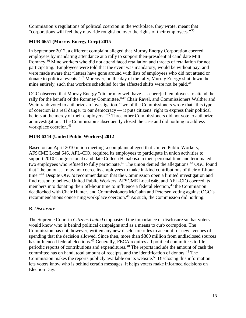Commission's regulations of political coercion in the workplace, they wrote, meant that "corporations will feel they may ride roughshod over the rights of their employees."<sup>[35](#page-22-11)</sup>

# **MUR 6651 (Murray Energy Corp) 2015**

 employees by mandating attendance at a rally to support then-presidential candidate Mitt were made aware that "letters have gone around with lists of employees who did not attend or In September 2012, a different complaint alleged that Murray Energy Corporation coerced Romney.<sup>[36](#page-22-12)</sup> Mine workers who did not attend faced retaliation and threats of retaliation for not participating. Employees were told that the event was mandatory, would be without pay, and donate to political events."[37](#page-22-13) Moreover, on the day of the rally, Murray Energy shut down the mine entirely, such that workers scheduled for the affected shifts were not be paid.<sup>38</sup>

OGC observed that Murray Energy "did or may well have . . . coerc[ed] employees to attend the rally for the benefit of the Romney Committee."<sup>39</sup> Chair Ravel, and Commissioners Walther and Weintraub voted to authorize an investigation. Two of the Commissioners wrote that "this type of coercion is a real danger to our democracy — it puts citizens' right to express their political beliefs at the mercy of their employers."<sup>[40](#page-22-16)</sup> Three other Commissioners did not vote to authorize an investigation. The Commission subsequently closed the case and did nothing to address workplace coercion. [41](#page-22-17) 

# **MUR 6344 (United Public Workers) 2012**

 Based on an April 2010 union meeting, a complaint alleged that United Public Workers, two employees who refused to fully participate.<sup>42</sup> The union denied the allegations.<sup>43</sup> OGC found find reason to believe United Public Workers, AFSCME Local 646, and AFL-CIO coerced its recommendations concerning workplace coercion.<sup>46</sup> As such, the Commission did nothing.<br>B. *Disclosure* AFSCME Local 646, AFL-CIO, required its employees to participate in union activities to support 2010 Congressional candidate Colleen Hanabusa in their personal time and terminated that "the union . . . may not coerce its employees to make in-kind contributions of their off-hour time."[44](#page-22-20) Despite OGC's recommendation that the Commission open a limited investigation and members into donating their off-hour time to influence a federal election,  $45$  the Commission deadlocked with Chair Hunter, and Commissioners McGahn and Petersen voting against OGC's

<span id="page-13-0"></span> Commission has not, however, written any new disclosure rules to account for new avenues of Commission makes the reports publicly available on its website.<sup>50</sup> Disclosing this information The Supreme Court in *Citizens United* emphasized the importance of disclosure so that voters would know who is behind political campaigns and as a means to curb corruption. The spending that the decision allowed. Since then, more than \$800 million from undisclosed sources has influenced federal elections.<sup>[47](#page-22-23)</sup> Generally, FECA requires all political committees to file periodic reports of contributions and expenditures.[48](#page-22-24) The reports include the amount of cash the committee has on hand, total amount of receipts, and the identification of donors.<sup>[49](#page-22-25)</sup> The lets voters know who is behind certain messages. It helps voters make informed decisions on Election Day.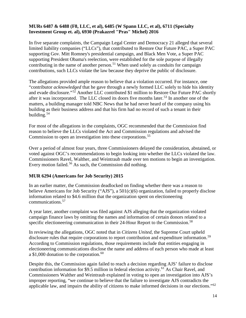### **MURs 6487 & 6488 (F8, LLC, et al), 6485 (W Spann LLC, et al), 6711 (Specialty Investment Group et. al), 6930 (Prakazrel "Pras" Michel) 2016**

 In five separate complaints, the Campaign Legal Center and Democracy 21 alleged that several contributing in the name of another person.<sup>[51](#page-22-27)</sup> When used solely as conduits for campaign limited liability companies ("LLCs"), that contributed to Restore Our Future PAC, a Super PAC supporting Gov. Mitt Romney's presidential campaign, and Black Men Vote, a Super PAC supporting President Obama's reelection, were established for the sole purpose of illegally contributions, such LLCs violate the law because they deprive the public of disclosure.

and evade disclosure."<sup>[52](#page-22-28)</sup> Another LLC contributed \$1 million to Restore Our Future PAC shortly after it was incorporated. The LLC closed its doors five months later.<sup>53</sup> In another one of the matters, a building manager told NBC News that he had never heard of the company using his building.<sup>54</sup> The allegations provided ample reason to believe that a violation occurred. For instance, one "contributor *acknowledged* that he gave through a newly formed LLC solely to hide his identity building as their business address and that his firm had no record of such a tenant in their

 reason to believe the LLCs violated the Act and Commission regulations and advised the Commission to open an investigation into these corporations.<sup>55</sup> For most of the allegations in the complaints, OGC recommended that the Commission find

 Over a period of almost four years, three Commissioners delayed the consideration, abstained, or voted against OGC's recommendations to begin looking into whether the LLCs violated the law. Commissioners Ravel, Walther, and Weintraub made over ten motions to begin an investigation. Every motion failed.<sup>56</sup> As such, the Commission did nothing.

### **MUR 6294 (Americans for Job Security) 2015**

 In an earlier matter, the Commission deadlocked on finding whether there was a reason to communications.<sup>57</sup> believe Americans for Job Security ("AJS"), a 501(c)(6) organization, failed to properly disclose information related to \$4.6 million that the organization spent on electioneering

specific electioneering communication in their 24-Hour Report to the Commission.<sup>58</sup> A year later, another complaint was filed against AJS alleging that the organization violated campaign finance laws by omitting the names and information of certain donors related to a

 In reviewing the allegations, OGC noted that in *Citizens United*, the Supreme Court upheld disclosure rules that require corporations to report contribution and expenditure information.<sup>[59](#page-23-1)</sup> a \$1,000 donation to the corporation. $60$ According to Commission regulations, those requirements include that entities engaging in electioneering communications disclose the name and address of each person who made at least

 Commissioners Walther and Weintraub explained in voting to open an investigation into AJS's applicable law, and impairs the ability of citizens to make informed decisions in our elections."<sup>62</sup> Despite this, the Commission again failed to reach a decision regarding AJS' failure to disclose contribution information for \$9.5 million in federal election activity.<sup>[61](#page-23-3)</sup> As Chair Ravel, and improper reporting, "we continue to believe that the failure to investigate AJS contradicts the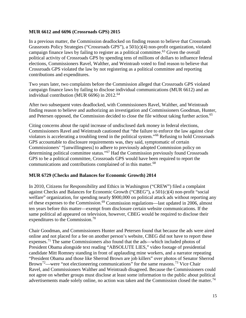#### **MUR 6612 and 6696 (Crossroads GPS) 2015**

campaign finance laws by failing to register as a political committee.<sup>[63](#page-23-5)</sup> Given the overall political activity of Crossroads GPS by spending tens of millions of dollars to influence federal contributions and expenditures. In a previous matter, the Commission deadlocked on finding reason to believe that Crossroads Grassroots Policy Strategies ("Crossroads GPS"), a 501(c)(4) non-profit organization, violated elections, Commissioners Ravel, Walther, and Weintraub voted to find reason to believe that Crossroads GPS violated the law by not registering as a political committee and reporting

 campaign finance laws by failing to disclose individual communications (MUR 6612) and an individual contribution (MUR 6696) in 2012.<sup>64</sup> Two years later, two complaints before the Commission alleged that Crossroads GPS violated

and Petersen opposed, the Commission decided to close the file without taking further action.<sup>65</sup> After two subsequent votes deadlocked, with Commissioners Ravel, Walther, and Weintraub finding reason to believe and authorizing an investigation and Commissioners Goodman, Hunter,

violators is accelerating a troubling trend in the political system."<sup>66</sup> Refusing to hold Crossroads determining political committee status."<sup>[67](#page-23-9)</sup> Had the Commission previously found Crossroads communications and contributions complained of in this matter.<sup>68</sup> Citing concerns about the rapid increase of undisclosed dark money in federal elections, Commissioners Ravel and Weintraub cautioned that "the failure to enforce the law against clear GPS accountable to disclosure requirements was, they said, symptomatic of certain Commissioners' "[unwillingness] to adhere to previously adopted Commission policy on GPS to be a political committee, Crossroads GPS would have been required to report the

### **MUR 6729 (Checks and Balances for Economic Growth) 2014**

 welfare" organization, for spending nearly \$900,000 on political attack ads without reporting any expenditures to the Commission.<sup>70</sup> In 2010, Citizens for Responsibility and Ethics in Washington ("CREW") filed a complaint against Checks and Balances for Economic Growth ("CBEG"), a 501(c)(4) non-profit "social of these expenses to the Commission.[69](#page-23-11) Commission regulations—last updated in 2006, almost ten years before this matter—exempt from disclosure certain website communications. If the same political ad appeared on television, however, CBEG would be required to disclose their

 candidate Mitt Romney standing in front of applauding mine workers, and a narrator repeating Chair Goodman, and Commissioners Hunter and Petersen found that because the ads were aired online and not placed for a fee on another person's website, CBEG did not have to report these expenses.[71](#page-23-13) The same Commissioners also found that the ads—which included photos of President Obama alongside text reading "ABSOLUTE LIES," video footage of presidential "President Obama and those like Sherrod Brown are job killers" over photos of Senator Sherrod Brown<sup>[72](#page-23-14)</sup>—were "not electioneering communications" for the same reasons.<sup>[73](#page-23-15)</sup> Vice Chair Ravel, and Commissioners Walther and Weintraub disagreed. Because the Commissioners could not agree on whether groups must disclose at least some information to the public about political advertisements made solely online, no action was taken and the Commission closed the matter.<sup>74</sup>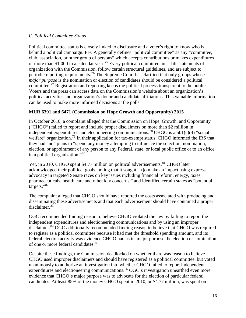## <span id="page-16-0"></span>C. *Political Committee Status*

of more than \$1,000 in a calendar year.<sup>75</sup> Every political committee must file statements of Voters and the press can access data on the Commission's website about an organization's Political committee status is closely linked to disclosure and a voter's right to know who is behind a political campaign. FECA generally defines "political committee" as any "committee, club, association, or other group of persons" which accepts contributions or makes expenditures organization with the Commission, follow certain structural guidelines, and are subject to periodic reporting requirements.[76](#page-23-18) The Supreme Court has clarified that only groups whose *major purpose* is the nomination or election of candidates should be considered a political committee.<sup>[77](#page-23-19)</sup> Registration and reporting keeps the political process transparent to the public. political activities and organization's donor and candidate affiliations. This valuable information can be used to make more informed decisions at the polls.

# **MUR 6391 and 6471 (Commission on Hope Growth and Opportunity) 2015**

 ("CHGO") failed to report and include proper disclaimers on more than \$2 million in In October 2010, a complaint alleged that the Commission on Hope, Growth, and Opportunity independent expenditures and electioneering communications.<sup>[78](#page-23-20)</sup> CHGO is a  $501(c)(4)$  "social welfare" organization.<sup>79</sup> In their application for tax-exempt status, CHGO informed the IRS that they had "no" plans to "spend any money attempting to influence the selection, nomination, election, or appointment of any person to any Federal, state, or local public office or to an office in a political organization."[80](#page-23-22)

 acknowledged their political goals, noting that it sought "[t]o make an impact using express pharmaceuticals, health care and other key concerns," and identified certain states as "potential Yet, in 2010, CHGO spent \$4.77 million on political advertisements.<sup>81</sup> CHGO later advocacy in targeted Senate races on key issues including financial reform, energy, taxes, targets."[82](#page-23-24) 

disclaimer.<sup>83</sup> The complaint alleged that CHGO should have reported the costs associated with producing and disseminating these advertisements and that each advertisement should have contained a proper

disclaimer.<sup>84</sup> OGC additionally recommended finding reason to believe that CHGO was required of one or more federal candidates.<sup>85</sup> OGC recommended finding reason to believe CHGO violated the law by failing to report the independent expenditures and electioneering communications and by using an improper to register as a political committee because it had met the threshold spending amount, and its federal election activity was evidence CHGO had as its major purpose the election or nomination

Despite these findings, the Commission deadlocked on whether there was reason to believe CHGO used improper disclaimers and should have registered as a political committee, but voted unanimously to authorize an investigation into whether CHGO failed to report independent expenditures and electioneering communications.<sup>86</sup> OGC's investigation unearthed even more evidence that CHGO's major purpose was to advocate for the election of particular federal candidates. At least 85% of the money CHGO spent in 2010, or \$4.77 million, was spent on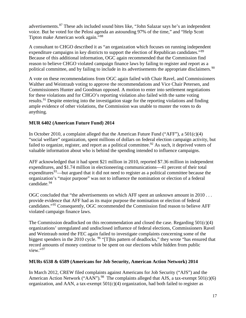advertisements.<sup>87</sup> These ads included sound bites like, "John Salazar says he's an independent voice. But he voted for the Pelosi agenda an astounding 97% of the time," and "Help Scott Tipton make American work again."[88](#page-23-30)

expenditure campaigns in key districts to support the election of Republican candidates."<sup>89</sup> political committee, and by failing to include in its advertisements the appropriate disclaimers.<sup>90</sup> A consultant to CHGO described it as "an organization which focuses on running independent Because of this additional information, OGC again recommended that the Commission find reason to believe CHGO violated campaign finance laws by failing to register and report as a

A vote on these recommendations from OGC again failed with Chair Ravel, and Commissioners Walther and Weintraub voting to approve the recommendations and Vice Chair Petersen, and Commissioners Hunter and Goodman opposed. A motion to enter into settlement negotiations for these violations and for CHGO's reporting violation also failed with the same voting results.<sup>91</sup> Despite entering into the investigation stage for the reporting violations and finding ample evidence of other violations, the Commission was unable to muster the votes to do anything.

# **MUR 6402 (American Future Fund) 2014**

In October 2010, a complaint alleged that the American Future Fund ("AFF"), a  $501(c)(4)$ "social welfare" organization, spent millions of dollars on federal election campaign activity, but failed to organize, register, and report as a political committee.<sup>92</sup> As such, it deprived voters of valuable information about who is behind the spending intended to influence campaigns.

candidate.<sup>94</sup> AFF acknowledged that it had spent \$21 million in 2010, reported \$7.36 million in independent expenditures, and \$1.74 million in electioneering communications—41 percent of their total expenditures<sup>93</sup>—but argued that it did not need to register as a political committee because the organization's "major purpose" was not to influence the nomination or election of a federal

OGC concluded that "the advertisements on which AFF spent an unknown amount in 2010 . . . provide evidence that AFF had as its major purpose the nomination or election of federal candidates."[95](#page-23-37) Consequently, OGC recommended the Commission find reason to believe AFF violated campaign finance laws.

view."<sup>[97](#page-23-39)</sup> The Commission deadlocked on this recommendation and closed the case. Regarding  $501(c)(4)$ organizations' unregulated and undisclosed influence of federal elections, Commissioners Ravel and Weintraub noted the FEC again failed to investigate complaints concerning some of the biggest spenders in the 2010 cycle. <sup>96</sup> "[T]his pattern of deadlocks," they wrote "has ensured that record amounts of money continue to be spent on our elections while hidden from public

### **MURs 6538 & 6589 (Americans for Job Security, American Action Network) 2014**

 In March 2012, CREW filed complaints against Americans for Job Security ("AJS") and the American Action Network ("AAN").<sup>[98](#page-24-0)</sup> The complaints alleged that AJS, a tax-exempt  $501(c)(6)$ organization, and AAN, a tax-exempt  $501(c)(4)$  organization, had both failed to register as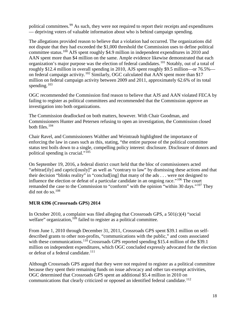political committees.<sup>[99](#page-24-1)</sup> As such, they were not required to report their receipts and expenditures — depriving voters of valuable information about who is behind campaign spending.

organization's major purpose was the election of federal candidates.<sup>101</sup> Notably, out of a total of The allegations provided reason to believe that a violation had occurred. The organizations did not dispute that they had exceeded the \$1,000 threshold the Commission uses to define political committee status.[100](#page-24-2) AJS spent roughly \$4.9 million in independent expenditures in 2010 and AAN spent more than \$4 million on the same. Ample evidence likewise demonstrated that each roughly \$12.4 million in overall spending in 2010, AJS spent roughly \$9.5 million—or 76.5% on federal campaign activity.<sup>102</sup> Similarly, OGC calculated that AAN spent more than \$17 million on federal campaign activity between 2009 and 2011, approximately 62.6% of its total spending. $103$ 

 OGC recommended the Commission find reason to believe that AJS and AAN violated FECA by failing to register as political committees and recommended that the Commission approve an investigation into both organizations.

 Commissioners Hunter and Petersen refusing to open an investigation, the Commission closed both files. $104$ The Commission deadlocked on both matters, however. With Chair Goodman, and

Chair Ravel, and Commissioners Walther and Weintraub highlighted the importance of enforcing the law in cases such as this, stating, "the entire purpose of the political committee status test boils down to a single, compelling policy interest: disclosure. Disclosure of donors and political spending is crucial."[105](#page-24-7)

 On September 19, 2016, a federal district court held that the bloc of commissioners acted influence the election or defeat of a particular candidate in an ongoing race."<sup>[106](#page-24-8)</sup> The court remanded the case to the Commission to "conform" with the opinion "within 30 days."<sup>107</sup> They "arbitrar[ily] and caprici[ously]" as well as "contrary to law" by dismissing these actions and that their decision "blinks reality" in "conclud[ing] that many of the ads . . . were not designed to did not do so. $108$ 

### **MUR 6396 (Crossroads GPS) 2014**

In October 2010, a complaint was filed alleging that Crossroads GPS, a 501(c)(4) "social welfare" organization,<sup>[109](#page-24-11)</sup> failed to register as a political committee.

 million on independent expenditures, which OGC concluded expressly advocated for the election or defeat of a federal candidate.<sup>111</sup> From June 1, 2010 through December 31, 2011, Crossroads GPS spent \$39.1 million on selfdescribed grants to other non-profits, "communications with the public," and costs associated with these communications.<sup>[110](#page-24-12)</sup> Crossroads GPS reported spending \$15.4 million of the \$39.1

communications that clearly criticized or opposed an identified federal candidate.<sup>[112](#page-24-14)</sup> Although Crossroads GPS argued that they were not required to register as a political committee because they spent their remaining funds on issue advocacy and other tax-exempt activities, OGC determined that Crossroads GPS spent an additional \$5.4 million in 2010 on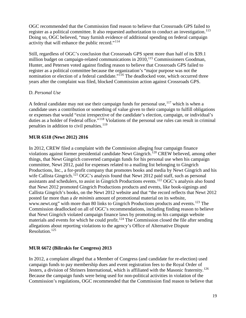register as a political committee. It also requested authorization to conduct an investigation.<sup>113</sup> activity that will enhance the public record."<sup>[114](#page-24-16)</sup> OGC recommended that the Commission find reason to believe that Crossroads GPS failed to Doing so, OGC believed, "may furnish evidence of additional spending on federal campaign

 Still, regardless of OGC's conclusion that Crossroads GPS spent more than half of its \$39.1 million budget on campaign-related communications in 2010,<sup>[115](#page-24-17)</sup> Commissioners Goodman, Hunter, and Petersen voted against finding reason to believe that Crossroads GPS failed to register as a political committee because the organization's "major purpose was not the nomination or election of a federal candidate."<sup>[116](#page-24-18)</sup> The deadlocked vote, which occurred three years after the complaint was filed, blocked Commission action against Crossroads GPS.

# <span id="page-19-0"></span>D. *Personal Use*

A federal candidate may not use their campaign funds for personal use,  $117$  which is when a candidate uses a contribution or something of value given to their campaign to fulfill obligations or expenses that would "exist irrespective of the candidate's election, campaign, or individual's duties as a holder of Federal office."<sup>118</sup> Violations of the personal use rules can result in criminal penalties in addition to civil penalties.<sup>[119](#page-24-21)</sup>

# **MUR 6518 (Newt 2012) 2016**

wife Callista Gingrich.<sup>[121](#page-24-23)</sup> OGC's analysis found that Newt 2012 paid staff, such as personal posted far more than a *de minimis* amount of promotional material on its website, Commission deadlocked on all of OGC's recommendations, including finding reason to believe allegations about reporting violations to the agency's Office of Alternative Dispute Resolution.<sup>125</sup> In 2012, CREW filed a complaint with the Commission alleging four campaign finance violations against former presidential candidate Newt Gingrich.[120](#page-24-22) CREW believed, among other things, that Newt Gingrich converted campaign funds for his personal use when his campaign committee, Newt 2012, paid for expenses related to a mailing list belonging to Gingrich Productions, Inc., a for-profit company that promotes books and media by Newt Gingrich and his assistants and schedulers, to assist in Gingrich Productions events.<sup>[122](#page-24-24)</sup> OGC's analysis also found that Newt 2012 promoted Gingrich Productions products and events, like book-signings and Callista Gingrich's books, on the Newt 2012 website and that "the record reflects that Newt 2012 www.newt.org" with more than 80 links to Gingrich Productions products and events.<sup>[123](#page-24-25)</sup> The that Newt Gingrich violated campaign finance laws by promoting on his campaign website materials and events for which he could profit.<sup>124</sup> The Commission closed the file after sending

# **MUR 6672 (Bilirakis for Congress) 2013**

In 2012, a complaint alleged that a Member of Congress (and candidate for re-election) used campaign funds to pay membership dues and event registration fees to the Royal Order of Jesters, a division of Shriners International, which is affiliated with the Masonic fraternity.<sup>126</sup> Because the campaign funds were being used for non-political activities in violation of the Commission's regulations, OGC recommended that the Commission find reason to believe that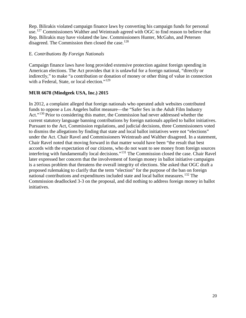disagreed. The Commission then closed the case.<sup>128</sup> Rep. Bilirakis violated campaign finance laws by converting his campaign funds for personal use.<sup>127</sup> Commissioners Walther and Weintraub agreed with OGC to find reason to believe that Rep. Bilirakis may have violated the law. Commissioners Hunter, McGahn, and Petersen

## <span id="page-20-0"></span>E. *Contributions By Foreign Nationals*

with a Federal, State, or local election."<sup>[129](#page-24-31)</sup> Campaign finance laws have long provided extensive protection against foreign spending in American elections. The Act provides that it is unlawful for a foreign national, "directly or indirectly," to make "a contribution or donation of money or other thing of value in connection

# **MUR 6678 (Mindgeek USA, Inc.) 2015**

 current statutory language banning contributions by foreign nationals applied to ballot initiatives. to dismiss the allegations by finding that state and local ballot initiatives were not "elections" interfering with fundamentally local decisions."<sup>[131](#page-24-33)</sup> The Commission closed the case. Chair Ravel initiatives. In 2012, a complaint alleged that foreign nationals who operated adult websites contributed funds to oppose a Los Angeles ballot measure—the "Safer Sex in the Adult Film Industry Act."<sup>[130](#page-24-32)</sup> Prior to considering this matter, the Commission had never addressed whether the Pursuant to the Act, Commission regulations, and judicial decisions, three Commissioners voted under the Act. Chair Ravel and Commissioners Weintraub and Walther disagreed. In a statement, Chair Ravel noted that moving forward in that matter would have been "the result that best accords with the expectation of our citizens, who do not want to see money from foreign sources later expressed her concern that the involvement of foreign money in ballot initiative campaigns is a serious problem that threatens the overall integrity of elections. She asked that OGC draft a proposed rulemaking to clarify that the term "election" for the purpose of the ban on foreign national contributions and expenditures included state and local ballot measures.<sup>[132](#page-24-34)</sup> The Commission deadlocked 3-3 on the proposal, and did nothing to address foreign money in ballot initiatives. 20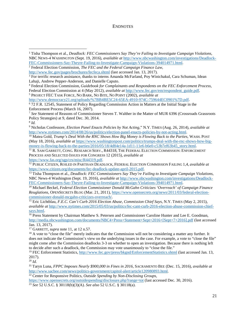#### **ENDNOTES**

<span id="page-21-2"></span> $\overline{\phantom{a}}$ 

<span id="page-21-10"></span>(May 18, 2016), *available at* https://www.washingtonpost.com/politics/trumps-deal-with-the-rnc-shows-how-big-<br>money-is-flowing-back-to-the-parties/2016/05/18/4d84e14a-1d11-11e6-b6e0-c53b7ef63b45\_story.html.

<span id="page-21-11"></span>[money-is-flowing-back-to-the-parties/2016/05/18/4d84e14a-1d11-11e6-b6e0-c53b7ef63b45\\_story.html.](https://www.washingtonpost.com/politics/trumps-deal-with-the-rnc-shows-how-big-money-is-flowing-back-to-the-parties/2016/05/18/4d84e14a-1d11-11e6-b6e0-c53b7ef63b45_story.html)<br><sup>11</sup> R. SAM GARRETT, CONG. RESEARCH SERV., R44318, THE FEDERAL ELECTION COMMISSION: ENFORCEMENT PROCESS AND SELECTED ISSUES FOR CONGRESS 12 (2015), *available at* 

<span id="page-21-13"></span> NBC News-4 Washington (Sept. 19, 2016), *available at* [http://www.nbcwashington.com/investigations/Deadlock-](http://www.nbcwashington.com/investigations/Deadlock-FEC-Commissioners-Say-Theyre-Failing-to-Investigate-Campaign-Violations-394014971.html)[FEC-Commissioners-Say-Theyre-Failing-to-Investigate-Campaign-Violations-394014971.html.](http://www.nbcwashington.com/investigations/Deadlock-FEC-Commissioners-Say-Theyre-Failing-to-Investigate-Campaign-Violations-394014971.html) 

<span id="page-21-14"></span><sup>14</sup>Michael Beckel, *Federal Election Commissioner Donald McGahn Criticizes 'Overreach' of Campaign Finance Reuglations*, OPENSECRETS BLOG (Mar. 21, 2011), [https://www.opensecrets.org/news/2011/03/federal-election](https://www.opensecrets.org/news/2011/03/federal-election-commissioner-donald-mcgahn-criticizes-overreach/)[commissioner-donald-mcgahn-criticizes-overreach/.](https://www.opensecrets.org/news/2011/03/federal-election-commissioner-donald-mcgahn-criticizes-overreach/) 15 Eric Lichtblau, *F.E.C. Can't Curb 2016 Election Abuse, Commission Chief Says*, N.Y. TIMES (May 2, 2015),

<span id="page-21-15"></span>*available at http://www.nytimes.com/2015/05/03/us/politics/fec-cant-curb-2016-election-abuse-commission-chief-says.html.* 

<span id="page-21-16"></span>[http://media.nbcwashington.com/documents/NBC4+Press+Statement+Sept+2016+\[Sept+7+2016\].pdf](http://media.nbcwashington.com/documents/NBC4+Press+Statement+Sept+2016+%5bSept+7+2016%5d.pdf) (last accessed <sup>16</sup> Press Statement by Chairman Matthew S. Petersen and Commissioner Caroline Hunter and Lee E. Goodman,

<span id="page-21-18"></span><sup>17</sup> GARRETT, *supra* note 11, at 12 n.57.

<span id="page-21-17"></span>Jan. 13, 2017).<br><sup>17</sup> GARRETT, *supra* note 11, at 12 n.57.<br><sup>18</sup> A vote to "close the file" merely indicates that the Commission will not be considering a matter any further. It does not indicate the Commission's view on the underlying issues in the case. For example, a vote to "close the file" might come after the Commission deadlocks 3-3 on whether to open an investigation. Because there is nothing left to decide after such a deadlock, the Commission may vote unanimously to "close the file."

<span id="page-21-19"></span>2017).<br><sup>20</sup> *Id.* <sup>19</sup> FEC Enforcement Statistics,<http://www.fec.gov/press/bkgnd/EnforcementStatistics.shtml>(last accessed Jan. 13, 2017).

<span id="page-21-21"></span><span id="page-21-20"></span>http://www.sacbee.com/news/politics-government/capitol-alert/article120980893.html. <sup>21</sup>Taryn Luna, *FPPC Imposes Nearly \$900,000 in Fines in 2016*, SACRAMENTO BEE (Dec. 15, 2016), *available at* 

<span id="page-21-22"></span><sup>22</sup> Center for Responsive Politics, *Outside Spending by Non-Disclosing Groups*,

<span id="page-21-23"></span><https://www.opensecrets.org/outsidespending/disclosure.php?range=tot>(last accessed Dec. 30, 2016). 23 *See* 52 U.S.C. § 30118(b)(3)(A). *See also* 52 U.S.C. § 30118(a).

<span id="page-21-0"></span> NBC NEWS-4 WASHINGTON (Sept. 19, 2016), *available at* [http://www.nbcwashington.com/investigations/Deadlock-](http://www.nbcwashington.com/investigations/Deadlock-FEC-Commissioners-Say-Theyre-Failing-to-Investigate-Campaign-Violations-394014971.html)<sup>1</sup>Tisha Thompson et al., *Deadlock: FEC Commissioners Say They're Failing to Investigate Campaign Violations*,

<span id="page-21-1"></span>[FEC-Commissioners-Say-Theyre-Failing-to-Investigate-Campaign-Violations-394014971.html.](http://www.nbcwashington.com/investigations/Deadlock-FEC-Commissioners-Say-Theyre-Failing-to-Investigate-Campaign-Violations-394014971.html) 2 Federal Election Commission, *The FEC and the Federal Campaign Finance Law*,

<span id="page-21-3"></span><http://www.fec.gov/pages/brochures/fecfeca.shtml>(last accessed Jan. 13, 2017).<br><sup>3</sup> For terrific research assistance, thanks to interns Amanda McFarland, Poy Winichakul, Cara Schuman, Idean Lahaji, Andrew Pepper-Anderson, and Danielle Caputo. 4 Federal Election Commission, *Guidebook for Complainants and Respondents on the FEC Enforcement Process,* 

<span id="page-21-4"></span>Federal Election Commission at 4 (May 2012), *available at [http://www.fec.gov/em/respondent\\_guide.pdf.](http://www.fec.gov/em/respondent_guide.pdf)* 

<span id="page-21-5"></span><sup>&</sup>lt;sup>5</sup> PROJECT FEC TASK FORCE, NO BARK, NO BITE, NO POINT (2002), *available at*<br>http://www.democracy21.org/uploads/%7BB4BE5C24-65EA-4910-974C-759644EC0901%7D.pdf. Enforcement Process (March 16, 2007).  $672$  F.R. 12545, Statement of Policy Regarding Commission Action in Matters at the Initial Stage in the

<span id="page-21-7"></span><span id="page-21-6"></span> <sup>7</sup>*See* Statement of Reasons of Commissioner Steven T. Walther in the Matter of MUR 6396 (Crossroads Grassroots Policy Strategies) at 9, dated Dec. 30, 2014.

<span id="page-21-8"></span> $8$  Id.

<span id="page-21-9"></span><sup>9</sup> Nicholas Confessore, *Election Panel Enacts Policies by Not Acting*," N.Y. TIMES (Aug. 26, 2014), *available at*  [http://www.nytimes.com/2014/08/26/us/politics/election-panel-enacts-policies-by-not-acting.html.](http://www.nytimes.com/2014/08/26/us/politics/election-panel-enacts-policies-by-not-acting.html) 10 Matea Gold, *Trump's Deal With the RNC Shows How Big Money is Flowing Back to the Parties*, WASH. POST

<span id="page-21-12"></span>[https://www.fas.org/sgp/crs/misc/R44319.pdf.](https://www.fas.org/sgp/crs/misc/R44319.pdf) 12 PUBLIC CITIZEN, ROILED IN PARTISAN DEADLOCK, FEDERAL ELECTION COMMISSION FAILING 1,4, *available at*  [https://www.citizen.org/documents/fec-deadlock-update-april-2015.pdf.](https://www.citizen.org/documents/fec-deadlock-update-april-2015.pdf) 13 Tisha Thompson et al., *Deadlock: FEC Commissioners Say They're Failing to Investigate Campaign Violations*,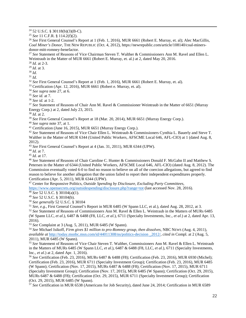<span id="page-22-0"></span><sup>24</sup> 52 U.S.C. § 30118(b)(3)(B-C).<br><sup>25</sup> *See* 11 C.F.R. § 114.2(f)(2).<br><sup>26</sup> *See* First General Counsel's Report at 1 (Feb. 1, 2016), MUR 6661 (Robert E. Murray, et. al); Alec MacGillis, *Coal Miner's Donor*, THE NEW REPUBLIC (Oct. 4, 2012), https://newrepublic.com/article/108140/coal-miners-

<span id="page-22-3"></span>donor-mitt-romney-benefactor.<br><sup>27</sup> *See S*tatement of Reasons of Vice Chairman Steven T. Walther & Commissioners Ann M. Ravel and Ellen L. Weintraub in the Matter of MUR 6661 (Robert E. Murray, et. al.) at 2, dated May 20, 2016.

<span id="page-22-4"></span> $28$  *Id.* at 2-3.

<span id="page-22-5"></span> $^{29}$  *Id.* at 3.

<span id="page-22-6"></span> $30$  Id.

 $\overline{\phantom{a}}$ 

<span id="page-22-8"></span><span id="page-22-7"></span> $1/31$  *Id.*<br> $32$  *See* First General Counsel's Report at 1 (Feb. 1, 2016), MUR 6661 (Robert E. Murray, et. al).

<span id="page-22-9"></span>

<span id="page-22-11"></span><span id="page-22-10"></span> $35$  See id. at 7.

<span id="page-22-13"></span><span id="page-22-12"></span> $36$  See id. at 1-2.

 $37$  See Statement of Reasons of Chair Ann M. Ravel & Commissioner Weintraub in the Matter of 6651 (Murray <sup>29</sup> Id. at 3.<br><sup>31</sup> Id.<br><sup>31</sup> Id.<br><sup>32</sup> See First General Counsel's Report at 1 (Feb. 1, 2016), MUR 6661 (Robert E. Murray, et. al).<br><sup>33</sup> Certification (Apr. 12, 2016), MUR 6661 (Robert e. Murray, et. al).<br><sup>34</sup> See supra not Energy Corp.) at 2, dated July 23, 2015.

<span id="page-22-14"></span> $^{38}$  *Id.* at 2.<br><sup>39</sup> See First General Counsel's Report at 18 (Mar. 20, 2014), MUR 6651 (Murray Energy Corp.).

<span id="page-22-16"></span><span id="page-22-15"></span> $40$  *See supra* note 37, at 1.<br> $41$  Certification (June 16, 2015), MUR 6651 (Murray Energy Corp.).

<span id="page-22-18"></span><span id="page-22-17"></span><sup>42</sup> See Statement of Reasons of Vice Chair Ellen L. Weintraub & Commissioners Cynthia L. Bauerly and Steve T. Walther in the Matter of MUR 6344 (United Public Workers, AFSCME Local 646, AFL-CIO) at 1 (dated Aug. 8, 2012).<br> $43$  See First General Counsel's Report at 4 (Jan. 31, 2011), MUR 6344 (UPW).

<span id="page-22-20"></span> $44$  *Id.* at 7.

<span id="page-22-22"></span><span id="page-22-21"></span> $45$  *Id.* at 17.

<span id="page-22-19"></span><sup>43</sup> See First General Counsel's Report at 4 (Jan. 31, 2011), MUR 6344 (UPW).<br><sup>44</sup> Id. at 7.<br><sup>45</sup> Id. at 17.<br><sup>46</sup> See Statement of Reasons of Chair Caroline C. Hunter & Commissioners Donald F. McGahn II and Matthew S. Petersen in the Matter of 6344 (United Public Workers, AFSCME Local 646, AFL-CIO) (dated Aug. 8, 2012). The Commission eventually voted 6-0 to find no reason to believe on all of the coercion allegations, but agreed to find reason to believe for another allegation that the union failed to report their independent expenditures properly. Certification (Apr. 5, 2011), MUR 6344 (UPW).

<span id="page-22-23"></span>47 Center for Responsive Politics, *Outside Spending by Disclosure, Excluding Party Committees*,

<span id="page-22-24"></span><https://www.opensecrets.org/outsidespending/disclosure.php?range=tot>(last accessed Nov. 28, 2016).<br><sup>48</sup> *See* 52 U.S.C. § 30104(a)(1).<br><sup>49</sup> *See* 52 U.S.C. § 30104(b).

<span id="page-22-28"></span><span id="page-22-27"></span>

<span id="page-22-26"></span><span id="page-22-25"></span><sup>49</sup> See 52 U.S.C. § 30104(b).<br><sup>50</sup> See generally 52 U.S.C. § 30104<br><sup>51</sup> See, e.g., First General Counsel's Report in MUR 6485 (W Spann LLC, et al.), dated Aug. 28, 2012, at 3.<br><sup>52</sup> See Statement of Reasons of Commissioner (W Spann LLC, *et al*.), 6487 & 6488 (F8, LLC, *et al.*), 6711 (Specialty Investments, Inc., *et al.*) at 2, dated Apr. 13,

<span id="page-22-29"></span>2016).<br><sup>53</sup> See Complaint at 3 (Aug. 5, 2011), MUR 6485 (W Spann).

<span id="page-22-30"></span><sup>54</sup> See Michael Isikoff, *Firm gives \$1 million to pro-Romney group, then dissolves, NBC NEWS (Aug. 4, 2011), available at* [http://today.msnbc.msn.com/id/44011308/ns/politics-decision \\_2012/,](http://today.msnbc.msn.com/id/44011308/ns/politics-decision%20_2012/) *cited in* Compl. at 2 (Aug. 5, 2011), MUR 6485 (W Spann).

<span id="page-22-31"></span><sup>55</sup>*See* Statement of Reasons of Vice Chair Steven T. Walther, Commissioners Ann M. Ravel & Ellen L. Weintraub in the Matters of MURs 6485 (W Spann LLC, *et al*.), 6487 & 6488 (F8, LLC, *et al.*), 6711 (Specialty Investments, Inc., *et al.*) at 2, dated Apr. 1, 2016).<br><sup>56</sup> *See* Certification (Feb. 23, 2016), MURs 6487 & 6488 (F8); Certification (Feb. 23, 2016), MUR 6930 (Michel);

<span id="page-22-32"></span>Certification (Feb. 23, 2016), MUR 6711 (Specialty Investment Group); Certification (Feb. 23, 2016), MUR 6485 (W Spann); Certification (Nov. 17, 2015), MURs 6487 & 6488 (F8); Certification (Nov. 17, 2015), MUR 6711 (Specialty Investment Group); Certification (Nov. 17, 2015), MUR 6485 (W Spann); Certification (Oct. 29, 2015), MURs 6487 & 6488 (F8); Certification (Oct. 29, 2015), MUR 6711 (Specialty Investment Group); Certification (Oct. 29, 2015), MUR 6485 (W Spann).

<span id="page-22-33"></span><sup>57</sup>*See* Certification in MUR 6538 (Americans for Job Security), dated June 24, 2014; Certification in MUR 6589

<span id="page-22-2"></span><span id="page-22-1"></span>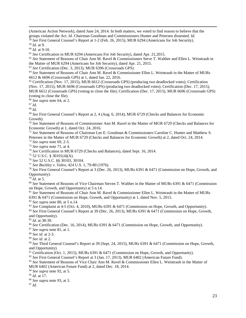groups violated the Act. *Id.* Chairman Goodman and Commissioners Hunter and Petersen dissented. *Id.* (American Action Network), dated June 24, 2014. In both matters, we voted to find reason to believe that the <sup>58</sup>*See* First General Counsel's Report at 1-2 (Feb. 26, 2015), MUR 6294 (Americans for Job Security).

<span id="page-23-1"></span><span id="page-23-0"></span> $59$  *Id.* at 9.

 $\overline{\phantom{a}}$ 

<span id="page-23-3"></span><span id="page-23-2"></span> $60$  *Id.* at 9-10.

<sup>59</sup> Id. at 9.<br><sup>60</sup> Id. at 9-10.<br><sup>61</sup> *See* Certification in MUR 6294 (Americans For Job Security), dated Apr. 21,2015.<br><sup>62</sup> *See* Statement of Reasons of Chair Ann M. Ravel & Commissioners Steve T. Walther and Ellen L. We

<span id="page-23-6"></span>

<span id="page-23-5"></span><span id="page-23-4"></span>the Matter of MUR 6294 (Americans for Job Security), dated Apr. 21, 2015.<br><sup>63</sup> See Certification (Dec. 3, 2013), MUR 6396 (Crossroads GPS).<br><sup>64</sup> See Statement of Reasons of Chair Ann M. Ravel & Commissioner Ellen L. Weintr 6612 & 6696 (Crossroads GPS) at 1, dated Jan. 22, 2016.

<span id="page-23-7"></span><sup>65</sup> Certification (Nov. 17, 2015), MUR 6612 (Crossroads GPS) (producing two deadlocked votes); Certification (Nov. 17, 2015), MUR 6696 (Crossroads GPS) (producing two deadlocked votes); Certification (Dec. 17, 2015), MUR 6612 (Crossroads GPS) (voting to close the file); Certification (Dec. 17, 2015), MUR 6696 (Crossroads GPS)

(voting to close the file).<br> $66$  See supra note 64, at 2.

<span id="page-23-9"></span><span id="page-23-8"></span> $67$  Id.

<span id="page-23-10"></span> $68$   $Id.$ 

<span id="page-23-11"></span><sup>69</sup> See First General Counsel's Report at 2, 4 (Aug. 6, 2014), MUR 6729 (Checks and Balances for Economic Growth).

<span id="page-23-12"></span><sup>70</sup>*See* Statement of Reasons of Commissioner Ann M. Ravel in the Matter of MUR 6729 (Checks and Balances for Economic Growth) at 1, dated Oct. 24, 2016.

<span id="page-23-13"></span><sup>71</sup>*See* Statement of Reasons of Chairman Lee E. Goodman & Commissioners Caroline C. Hunter and Matthew S.

<span id="page-23-14"></span> $72$  See supra note 69, 2-3.

<span id="page-23-15"></span> $73$  See supra note 71, at 4.

<span id="page-23-17"></span><span id="page-23-16"></span><sup>74</sup> See Certification in MUR 6729 (Checks and Balances), dated Sept. 16, 2014.

<span id="page-23-18"></span>

<span id="page-23-20"></span><span id="page-23-19"></span>

Petersen in the Matter of MUR 6729 (Checks and Balances for Economic Growth) at 2, dated Oct. 24, 2014.<br><sup>72</sup> See supra note 69, 2-3.<br><sup>73</sup> See supra note 71, at 4.<br><sup>74</sup> See Certification in MUR 6729 (Checks and Balances), d Opportunity).

<span id="page-23-21"></span> $79$   $\bar{1}d$  at 5.

<span id="page-23-22"></span>on Hope, Growth, and Opportunity) at 5 n.14. <sup>80</sup> See Statement of Reasons of Vice Chairman Steven T. Walther in the Matter of MURs 6391 & 6471 (Commission

<span id="page-23-23"></span>on Hope, Growth, and Opportunity) at 5 n.14.<br><sup>81</sup> *See S*tatement of Reasons of Chair Ann M. Ravel & Commissioner Ellen L. Weintraub in the Matter of MURs 6391 & 6471 (Commission on Hope, Growth, and Opportunity) at 1, dated Nov. 5, 2015.

<span id="page-23-24"></span> $82$  See supra note 80, at 5 n.14.

<span id="page-23-25"></span><sup>83</sup> See Complaint at 4-5 (Oct. 4, 2010), MURs 6391 & 6471 (Commission on Hope, Growth, and Opportunity).

<span id="page-23-26"></span> $84$  See First General Counsel's Report at 39 (Dec. 26, 2013), MURs 6391 & 6471 (Commission on Hope, Growth, and Opportunity).

<span id="page-23-27"></span> $85$  *Id.* at 38-39.

<span id="page-23-28"></span><sup>86</sup> See Certification (Dec. 16, 2014), MURs 6391 & 6471 (Commission on Hope, Growth, and Opportunity).

<span id="page-23-29"></span> $87$  See supra note 81, at 1.

<span id="page-23-30"></span><sup>88</sup> See id. at 2-3.

<span id="page-23-31"></span> $89$  See id. at 2.

<span id="page-23-32"></span><sup>89</sup> *See id.* at 2.<br><sup>90</sup> *See* Third General Counsel's Report at 39 (Sept. 24, 2015), MURs 6391 & 6471 (Commission on Hope, Growth, and Opportunity).

<span id="page-23-33"></span><sup>91</sup> Certification (Oct. 1, 2015), MURs 6391 & 6471 (Commission on Hope, Growth, and Opportunity).

<span id="page-23-34"></span><sup>92</sup>*See* First General Counsel's Report at 3 (Jan. 17, 2013), MUR 6402 (American Future Fund).

<span id="page-23-35"></span><sup>93</sup>*See* Statement of Reasons of Vice Chair Ann M. Ravel & Commissioner Ellen L. Weintraub in the Matter of MUR 6402 (American Future Fund) at 2, dated Dec. 18, 2014.

<span id="page-23-38"></span><span id="page-23-37"></span> $95$  *Id.* at 17.

<span id="page-23-36"></span> <sup>94</sup>*See supra* note 92, at 5. 95 *Id*. at 17. 96 *See supra* note 93, at 3. 97 *Id*. <sup>96</sup> See supra note 93, at 3.

<span id="page-23-39"></span> $97$  Id.